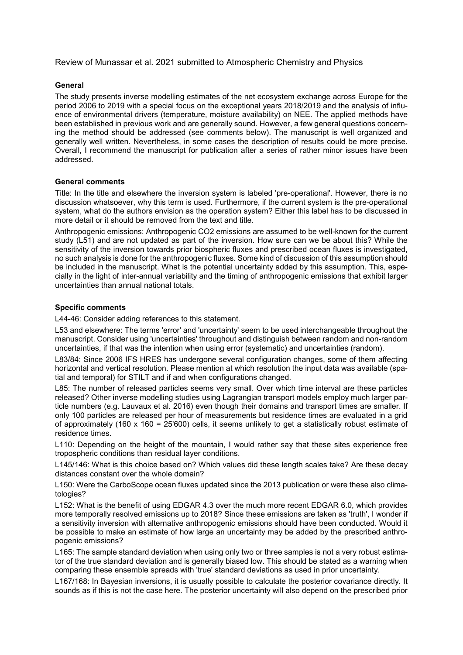Review of Munassar et al. 2021 submitted to Atmospheric Chemistry and Physics

## **General**

The study presents inverse modelling estimates of the net ecosystem exchange across Europe for the period 2006 to 2019 with a special focus on the exceptional years 2018/2019 and the analysis of influence of environmental drivers (temperature, moisture availability) on NEE. The applied methods have been established in previous work and are generally sound. However, a few general questions concerning the method should be addressed (see comments below). The manuscript is well organized and generally well written. Nevertheless, in some cases the description of results could be more precise. Overall, I recommend the manuscript for publication after a series of rather minor issues have been addressed.

## **General comments**

Title: In the title and elsewhere the inversion system is labeled 'pre-operational'. However, there is no discussion whatsoever, why this term is used. Furthermore, if the current system is the pre-operational system, what do the authors envision as the operation system? Either this label has to be discussed in more detail or it should be removed from the text and title.

Anthropogenic emissions: Anthropogenic CO2 emissions are assumed to be well-known for the current study (L51) and are not updated as part of the inversion. How sure can we be about this? While the sensitivity of the inversion towards prior biospheric fluxes and prescribed ocean fluxes is investigated, no such analysis is done for the anthropogenic fluxes. Some kind of discussion of this assumption should be included in the manuscript. What is the potential uncertainty added by this assumption. This, especially in the light of inter-annual variability and the timing of anthropogenic emissions that exhibit larger uncertainties than annual national totals.

## **Specific comments**

L44-46: Consider adding references to this statement.

L53 and elsewhere: The terms 'error' and 'uncertainty' seem to be used interchangeable throughout the manuscript. Consider using 'uncertainties' throughout and distinguish between random and non-random uncertainties, if that was the intention when using error (systematic) and uncertainties (random).

L83/84: Since 2006 IFS HRES has undergone several configuration changes, some of them affecting horizontal and vertical resolution. Please mention at which resolution the input data was available (spatial and temporal) for STILT and if and when configurations changed.

L85: The number of released particles seems very small. Over which time interval are these particles released? Other inverse modelling studies using Lagrangian transport models employ much larger particle numbers (e.g. Lauvaux et al. 2016) even though their domains and transport times are smaller. If only 100 particles are released per hour of measurements but residence times are evaluated in a grid of approximately (160 x 160 = 25'600) cells, it seems unlikely to get a statistically robust estimate of residence times.

L110: Depending on the height of the mountain, I would rather say that these sites experience free tropospheric conditions than residual layer conditions.

L145/146: What is this choice based on? Which values did these length scales take? Are these decay distances constant over the whole domain?

L150: Were the CarboScope ocean fluxes updated since the 2013 publication or were these also climatologies?

L152: What is the benefit of using EDGAR 4.3 over the much more recent EDGAR 6.0, which provides more temporally resolved emissions up to 2018? Since these emissions are taken as 'truth', I wonder if a sensitivity inversion with alternative anthropogenic emissions should have been conducted. Would it be possible to make an estimate of how large an uncertainty may be added by the prescribed anthropogenic emissions?

L165: The sample standard deviation when using only two or three samples is not a very robust estimator of the true standard deviation and is generally biased low. This should be stated as a warning when comparing these ensemble spreads with 'true' standard deviations as used in prior uncertainty.

L167/168: In Bayesian inversions, it is usually possible to calculate the posterior covariance directly. It sounds as if this is not the case here. The posterior uncertainty will also depend on the prescribed prior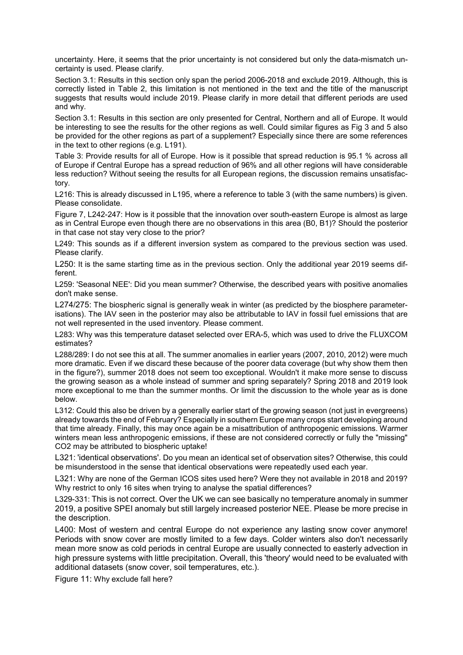uncertainty. Here, it seems that the prior uncertainty is not considered but only the data-mismatch uncertainty is used. Please clarify.

Section 3.1: Results in this section only span the period 2006-2018 and exclude 2019. Although, this is correctly listed in Table 2, this limitation is not mentioned in the text and the title of the manuscript suggests that results would include 2019. Please clarify in more detail that different periods are used and why.

Section 3.1: Results in this section are only presented for Central, Northern and all of Europe. It would be interesting to see the results for the other regions as well. Could similar figures as Fig 3 and 5 also be provided for the other regions as part of a supplement? Especially since there are some references in the text to other regions (e.g. L191).

Table 3: Provide results for all of Europe. How is it possible that spread reduction is 95.1 % across all of Europe if Central Europe has a spread reduction of 96% and all other regions will have considerable less reduction? Without seeing the results for all European regions, the discussion remains unsatisfactory.

L216: This is already discussed in L195, where a reference to table 3 (with the same numbers) is given. Please consolidate.

Figure 7, L242-247: How is it possible that the innovation over south-eastern Europe is almost as large as in Central Europe even though there are no observations in this area (B0, B1)? Should the posterior in that case not stay very close to the prior?

L249: This sounds as if a different inversion system as compared to the previous section was used. Please clarify.

L250: It is the same starting time as in the previous section. Only the additional year 2019 seems different.

L259: 'Seasonal NEE': Did you mean summer? Otherwise, the described years with positive anomalies don't make sense.

L274/275: The biospheric signal is generally weak in winter (as predicted by the biosphere parameterisations). The IAV seen in the posterior may also be attributable to IAV in fossil fuel emissions that are not well represented in the used inventory. Please comment.

L283: Why was this temperature dataset selected over ERA-5, which was used to drive the FLUXCOM estimates?

L288/289: I do not see this at all. The summer anomalies in earlier years (2007, 2010, 2012) were much more dramatic. Even if we discard these because of the poorer data coverage (but why show them then in the figure?), summer 2018 does not seem too exceptional. Wouldn't it make more sense to discuss the growing season as a whole instead of summer and spring separately? Spring 2018 and 2019 look more exceptional to me than the summer months. Or limit the discussion to the whole year as is done below.

L312: Could this also be driven by a generally earlier start of the growing season (not just in evergreens) already towards the end of February? Especially in southern Europe many crops start developing around that time already. Finally, this may once again be a misattribution of anthropogenic emissions. Warmer winters mean less anthropogenic emissions, if these are not considered correctly or fully the "missing" CO2 may be attributed to biospheric uptake!

L321: 'identical observations'. Do you mean an identical set of observation sites? Otherwise, this could be misunderstood in the sense that identical observations were repeatedly used each year.

L321: Why are none of the German ICOS sites used here? Were they not available in 2018 and 2019? Why restrict to only 16 sites when trying to analyse the spatial differences?

L329-331: This is not correct. Over the UK we can see basically no temperature anomaly in summer 2019, a positive SPEI anomaly but still largely increased posterior NEE. Please be more precise in the description.

L400: Most of western and central Europe do not experience any lasting snow cover anymore! Periods with snow cover are mostly limited to a few days. Colder winters also don't necessarily mean more snow as cold periods in central Europe are usually connected to easterly advection in high pressure systems with little precipitation. Overall, this 'theory' would need to be evaluated with additional datasets (snow cover, soil temperatures, etc.).

Figure 11: Why exclude fall here?